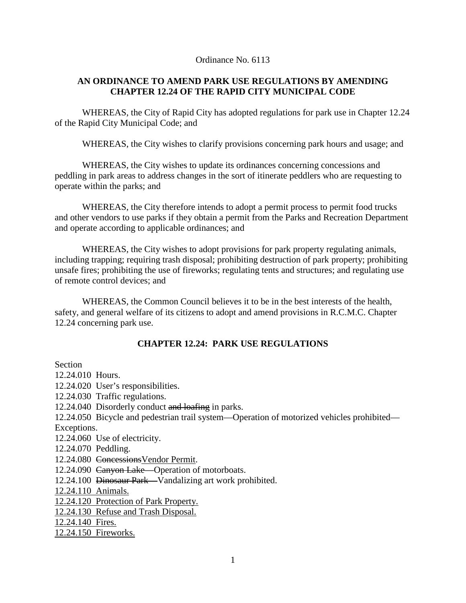#### Ordinance No. 6113

### **AN ORDINANCE TO AMEND PARK USE REGULATIONS BY AMENDING CHAPTER 12.24 OF THE RAPID CITY MUNICIPAL CODE**

WHEREAS, the City of Rapid City has adopted regulations for park use in Chapter 12.24 of the Rapid City Municipal Code; and

WHEREAS, the City wishes to clarify provisions concerning park hours and usage; and

WHEREAS, the City wishes to update its ordinances concerning concessions and peddling in park areas to address changes in the sort of itinerate peddlers who are requesting to operate within the parks; and

WHEREAS, the City therefore intends to adopt a permit process to permit food trucks and other vendors to use parks if they obtain a permit from the Parks and Recreation Department and operate according to applicable ordinances; and

WHEREAS, the City wishes to adopt provisions for park property regulating animals, including trapping; requiring trash disposal; prohibiting destruction of park property; prohibiting unsafe fires; prohibiting the use of fireworks; regulating tents and structures; and regulating use of remote control devices; and

WHEREAS, the Common Council believes it to be in the best interests of the health, safety, and general welfare of its citizens to adopt and amend provisions in R.C.M.C. Chapter 12.24 concerning park use.

### **CHAPTER 12.24: PARK USE REGULATIONS**

Section

12.24.010 Hours. 12.24.020 User's responsibilities. 12.24.030 Traffic regulations. 12.24.040 Disorderly conduct and loafing in parks. 12.24.050 Bicycle and pedestrian trail system—Operation of motorized vehicles prohibited— Exceptions. 12.24.060 Use of electricity. 12.24.070 Peddling. 12.24.080 ConcessionsVendor Permit. 12.24.090 Canyon Lake—Operation of motorboats. 12.24.100 Dinosaur Park—Vandalizing art work prohibited. 12.24.110 Animals. 12.24.120 Protection of Park Property. 12.24.130 Refuse and Trash Disposal. 12.24.140 Fires. 12.24.150 Fireworks.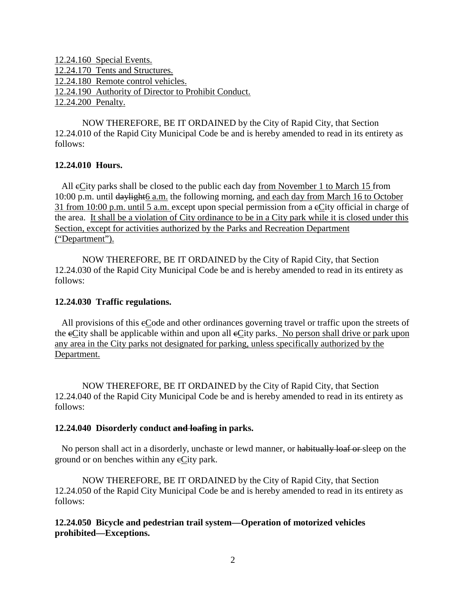12.24.160 Special Events. 12.24.170 Tents and Structures. 12.24.180 Remote control vehicles. 12.24.190 Authority of Director to Prohibit Conduct. 12.24.200 Penalty.

NOW THEREFORE, BE IT ORDAINED by the City of Rapid City, that Section 12.24.010 of the Rapid City Municipal Code be and is hereby amended to read in its entirety as follows:

### **12.24.010 Hours.**

 All cCity parks shall be closed to the public each day from November 1 to March 15 from 10:00 p.m. until daylight6 a.m. the following morning, and each day from March 16 to October 31 from 10:00 p.m. until 5 a.m. except upon special permission from a cCity official in charge of the area. It shall be a violation of City ordinance to be in a City park while it is closed under this Section, except for activities authorized by the Parks and Recreation Department ("Department").

NOW THEREFORE, BE IT ORDAINED by the City of Rapid City, that Section 12.24.030 of the Rapid City Municipal Code be and is hereby amended to read in its entirety as follows:

### **12.24.030 Traffic regulations.**

All provisions of this eCode and other ordinances governing travel or traffic upon the streets of the eCity shall be applicable within and upon all eCity parks. No person shall drive or park upon any area in the City parks not designated for parking, unless specifically authorized by the Department.

NOW THEREFORE, BE IT ORDAINED by the City of Rapid City, that Section 12.24.040 of the Rapid City Municipal Code be and is hereby amended to read in its entirety as follows:

### **12.24.040 Disorderly conduct and loafing in parks.**

No person shall act in a disorderly, unchaste or lewd manner, or habitually loaf or sleep on the ground or on benches within any cCity park.

NOW THEREFORE, BE IT ORDAINED by the City of Rapid City, that Section 12.24.050 of the Rapid City Municipal Code be and is hereby amended to read in its entirety as follows:

**12.24.050 Bicycle and pedestrian trail system—Operation of motorized vehicles prohibited—Exceptions.**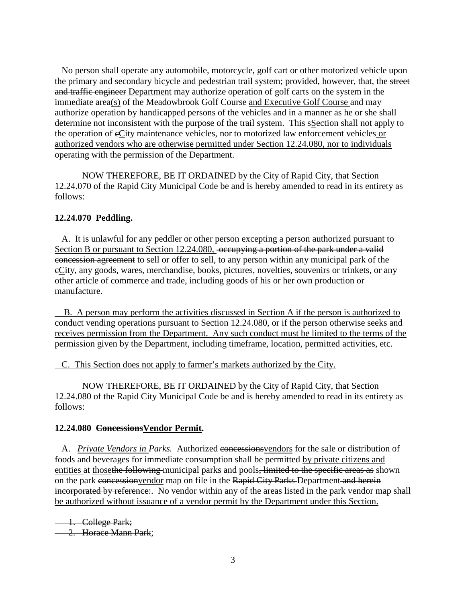No person shall operate any automobile, motorcycle, golf cart or other motorized vehicle upon the primary and secondary bicycle and pedestrian trail system; provided, however, that, the street and traffic engineer Department may authorize operation of golf carts on the system in the immediate area(s) of the Meadowbrook Golf Course and Executive Golf Course and may authorize operation by handicapped persons of the vehicles and in a manner as he or she shall determine not inconsistent with the purpose of the trail system. This sSection shall not apply to the operation of eCity maintenance vehicles, nor to motorized law enforcement vehicles or authorized vendors who are otherwise permitted under Section 12.24.080, nor to individuals operating with the permission of the Department.

NOW THEREFORE, BE IT ORDAINED by the City of Rapid City, that Section 12.24.070 of the Rapid City Municipal Code be and is hereby amended to read in its entirety as follows:

# **12.24.070 Peddling.**

 A. It is unlawful for any peddler or other person excepting a person authorized pursuant to Section B or pursuant to Section 12.24.080, occupying a portion of the park under a valid concession agreement to sell or offer to sell, to any person within any municipal park of the cCity, any goods, wares, merchandise, books, pictures, novelties, souvenirs or trinkets, or any other article of commerce and trade, including goods of his or her own production or manufacture.

 B. A person may perform the activities discussed in Section A if the person is authorized to conduct vending operations pursuant to Section 12.24.080, or if the person otherwise seeks and receives permission from the Department. Any such conduct must be limited to the terms of the permission given by the Department, including timeframe, location, permitted activities, etc.

C. This Section does not apply to farmer's markets authorized by the City.

NOW THEREFORE, BE IT ORDAINED by the City of Rapid City, that Section 12.24.080 of the Rapid City Municipal Code be and is hereby amended to read in its entirety as follows:

### **12.24.080 ConcessionsVendor Permit.**

 A. *Private Vendors in Parks.* Authorized concessionsvendors for the sale or distribution of foods and beverages for immediate consumption shall be permitted by private citizens and entities at those the following municipal parks and pools, limited to the specific areas as shown on the park concession vendor map on file in the Rapid City Parks Department and herein incorporated by reference:. No vendor within any of the areas listed in the park vendor map shall be authorized without issuance of a vendor permit by the Department under this Section.

1. College Park;

- 2. Horace Mann Park: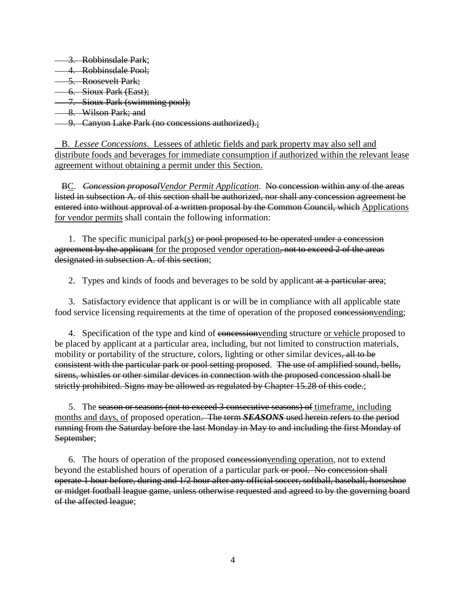3. Robbinsdale Park:

- 4. Robbinsdale Pool;
- 5. Roosevelt Park;
- 6. Sioux Park (East);
- 7. Sioux Park (swimming pool);
- 8. Wilson Park; and

### **9. Canyon Lake Park (no concessions authorized).**;

 B. *Lessee Concessions*. Lessees of athletic fields and park property may also sell and distribute foods and beverages for immediate consumption if authorized within the relevant lease agreement without obtaining a permit under this Section.

 BC. *Concession proposalVendor Permit Application*. No concession within any of the areas listed in subsection A. of this section shall be authorized, nor shall any concession agreement be entered into without approval of a written proposal by the Common Council, which Applications for vendor permits shall contain the following information:

1. The specific municipal park(s)  $\Theta$  proposed to be operated under a concession agreement by the applicant for the proposed vendor operation, not to exceed 2 of the areas designated in subsection A. of this section;

2. Types and kinds of foods and beverages to be sold by applicant at a particular area;

 3. Satisfactory evidence that applicant is or will be in compliance with all applicable state food service licensing requirements at the time of operation of the proposed concession vending;

4. Specification of the type and kind of concession vending structure or vehicle proposed to be placed by applicant at a particular area, including, but not limited to construction materials, mobility or portability of the structure, colors, lighting or other similar devices, all to be consistent with the particular park or pool setting proposed. The use of amplified sound, bells, sirens, whistles or other similar devices in connection with the proposed concession shall be strictly prohibited. Signs may be allowed as regulated by Chapter 15.28 of this code.;

5. The season or seasons (not to exceed 3 consecutive seasons) of time frame, including months and days, of proposed operation. The term *SEASONS* used herein refers to the period running from the Saturday before the last Monday in May to and including the first Monday of September;

 6. The hours of operation of the proposed concessionvending operation, not to extend beyond the established hours of operation of a particular park-or pool. No concession shall operate 1 hour before, during and 1/2 hour after any official soccer, softball, baseball, horseshoe or midget football league game, unless otherwise requested and agreed to by the governing board of the affected league;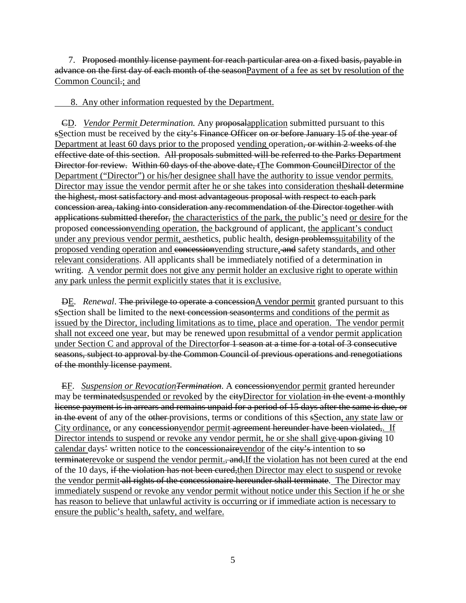7. Proposed monthly license payment for reach particular area on a fixed basis, payable in advance on the first day of each month of the seasonPayment of a fee as set by resolution of the Common Council.; and

8. Any other information requested by the Department.

 CD. *Vendor Permit Determination.* Any proposalapplication submitted pursuant to this sSection must be received by the city's Finance Officer on or before January 15 of the year of Department at least 60 days prior to the proposed vending operation, or within 2 weeks of the effective date of this section. All proposals submitted will be referred to the Parks Department Director for review. Within 60 days of the above date, tThe Common CouncilDirector of the Department ("Director") or his/her designee shall have the authority to issue vendor permits. Director may issue the vendor permit after he or she takes into consideration theshall determine the highest, most satisfactory and most advantageous proposal with respect to each park concession area, taking into consideration any recommendation of the Director together with applications submitted therefor, the characteristics of the park, the public's need or desire for the proposed concessionvending operation, the background of applicant, the applicant's conduct under any previous vendor permit, aesthetics, public health, design problemssuitability of the proposed vending operation and concessionvending structure, and safety standards, and other relevant considerations. All applicants shall be immediately notified of a determination in writing. A vendor permit does not give any permit holder an exclusive right to operate within any park unless the permit explicitly states that it is exclusive.

 DE. *Renewal*. The privilege to operate a concessionA vendor permit granted pursuant to this sSection shall be limited to the next concession seasonterms and conditions of the permit as issued by the Director, including limitations as to time, place and operation. The vendor permit shall not exceed one year, but may be renewed upon resubmittal of a vendor permit application under Section C and approval of the Directorfor 1 season at a time for a total of 3 consecutive seasons, subject to approval by the Common Council of previous operations and renegotiations of the monthly license payment.

EF. *Suspension or Revocation<del>Termination</del>*. A concession vendor permit granted hereunder may be terminated suspended or revoked by the eityDirector for violation in the event a monthly license payment is in arrears and remains unpaid for a period of 15 days after the same is due, or in the event of any of the other provisions, terms or conditions of this sSection, any state law or City ordinance, or any concession vendor permit agreement hereunder have been violated,. If Director intends to suspend or revoke any vendor permit, he or she shall give upon giving 10 calendar days<sup>2</sup> written notice to the concessionairevendor of the eity's intention to so terminaterevoke or suspend the vendor permit., and, If the violation has not been cured at the end of the 10 days, if the violation has not been cured,then Director may elect to suspend or revoke the vendor permit all rights of the concessionaire hereunder shall terminate. The Director may immediately suspend or revoke any vendor permit without notice under this Section if he or she has reason to believe that unlawful activity is occurring or if immediate action is necessary to ensure the public's health, safety, and welfare.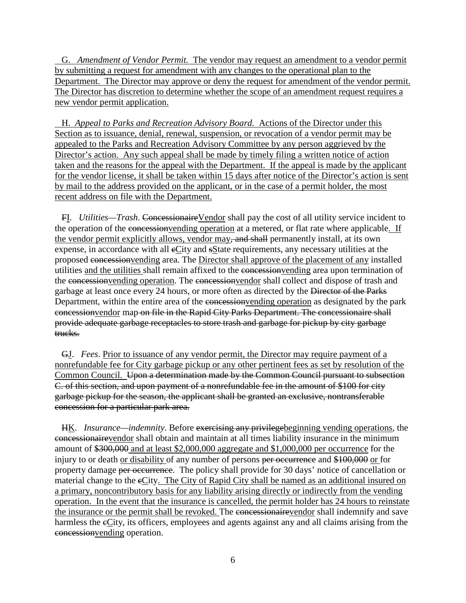G. *Amendment of Vendor Permit.* The vendor may request an amendment to a vendor permit by submitting a request for amendment with any changes to the operational plan to the Department. The Director may approve or deny the request for amendment of the vendor permit. The Director has discretion to determine whether the scope of an amendment request requires a new vendor permit application.

 H. *Appeal to Parks and Recreation Advisory Board.* Actions of the Director under this Section as to issuance, denial, renewal, suspension, or revocation of a vendor permit may be appealed to the Parks and Recreation Advisory Committee by any person aggrieved by the Director's action. Any such appeal shall be made by timely filing a written notice of action taken and the reasons for the appeal with the Department. If the appeal is made by the applicant for the vendor license, it shall be taken within 15 days after notice of the Director's action is sent by mail to the address provided on the applicant, or in the case of a permit holder, the most recent address on file with the Department.

 FI. *Utilities—Trash*. ConcessionaireVendor shall pay the cost of all utility service incident to the operation of the concession vending operation at a metered, or flat rate where applicable. If the vendor permit explicitly allows, vendor may, and shall permanently install, at its own expense, in accordance with all eCity and sState requirements, any necessary utilities at the proposed concessionvending area. The Director shall approve of the placement of any installed utilities and the utilities shall remain affixed to the concessionvending area upon termination of the concession vending operation. The concession vendor shall collect and dispose of trash and garbage at least once every 24 hours, or more often as directed by the Director of the Parks Department, within the entire area of the concession vending operation as designated by the park concessionvendor map on file in the Rapid City Parks Department. The concessionaire shall provide adequate garbage receptacles to store trash and garbage for pickup by city garbage trucks.

 GJ. *Fees*. Prior to issuance of any vendor permit, the Director may require payment of a nonrefundable fee for City garbage pickup or any other pertinent fees as set by resolution of the Common Council. Upon a determination made by the Common Council pursuant to subsection C. of this section, and upon payment of a nonrefundable fee in the amount of \$100 for city garbage pickup for the season, the applicant shall be granted an exclusive, nontransferable concession for a particular park area.

 HK. *Insurance—indemnity*. Before exercising any privilegebeginning vending operations, the concessionairevendor shall obtain and maintain at all times liability insurance in the minimum amount of \$300,000 and at least \$2,000,000 aggregate and \$1,000,000 per occurrence for the injury to or death or disability of any number of persons per occurrence and \$100,000 or for property damage per occurrence. The policy shall provide for 30 days' notice of cancellation or material change to the eCity. The City of Rapid City shall be named as an additional insured on a primary, noncontributory basis for any liability arising directly or indirectly from the vending operation. In the event that the insurance is cancelled, the permit holder has 24 hours to reinstate the insurance or the permit shall be revoked. The concessional integration shall indemnify and save harmless the eCity, its officers, employees and agents against any and all claims arising from the concessionvending operation.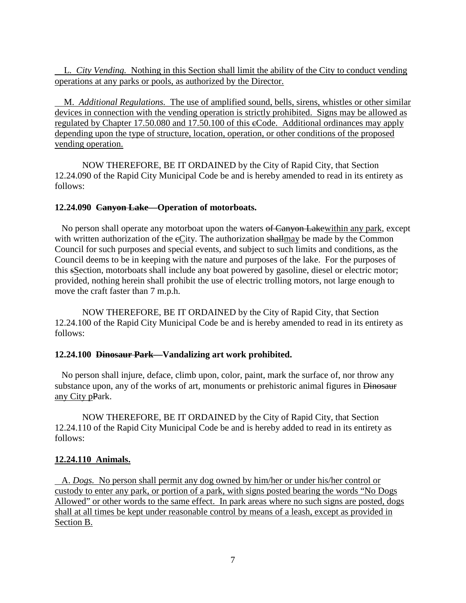L. *City Vending.* Nothing in this Section shall limit the ability of the City to conduct vending operations at any parks or pools, as authorized by the Director.

 M. *Additional Regulations.* The use of amplified sound, bells, sirens, whistles or other similar devices in connection with the vending operation is strictly prohibited. Signs may be allowed as regulated by [Chapter 17.50.080 and 17.50.100](http://www.amlegal.com/nxt/gateway.dll?f=jumplink$jumplink_x=Advanced$jumplink_vpc=first$jumplink_xsl=querylink.xsl$jumplink_sel=title;path;content-type;home-title;item-bookmark$jumplink_d=south%20dakota(rapidcity_sd)$jumplink_q=%5bfield%20folio-destination-name:%27Chapter%2015.28%27%5d$jumplink_md=target-id=JD_Chapter15.28) of this eCode. Additional ordinances may apply depending upon the type of structure, location, operation, or other conditions of the proposed vending operation.

NOW THEREFORE, BE IT ORDAINED by the City of Rapid City, that Section 12.24.090 of the Rapid City Municipal Code be and is hereby amended to read in its entirety as follows:

### **12.24.090 Canyon Lake—Operation of motorboats.**

No person shall operate any motorboat upon the waters of Canyon Lakewithin any park, except with written authorization of the eCity. The authorization shallmay be made by the Common Council for such purposes and special events, and subject to such limits and conditions, as the Council deems to be in keeping with the nature and purposes of the lake. For the purposes of this sSection, motorboats shall include any boat powered by gasoline, diesel or electric motor; provided, nothing herein shall prohibit the use of electric trolling motors, not large enough to move the craft faster than 7 m.p.h.

NOW THEREFORE, BE IT ORDAINED by the City of Rapid City, that Section 12.24.100 of the Rapid City Municipal Code be and is hereby amended to read in its entirety as follows:

# **12.24.100 Dinosaur Park—Vandalizing art work prohibited.**

 No person shall injure, deface, climb upon, color, paint, mark the surface of, nor throw any substance upon, any of the works of art, monuments or prehistoric animal figures in Dinosaur any City pPark.

NOW THEREFORE, BE IT ORDAINED by the City of Rapid City, that Section 12.24.110 of the Rapid City Municipal Code be and is hereby added to read in its entirety as follows:

# **12.24.110 Animals.**

 A. *Dogs.* No person shall permit any dog owned by him/her or under his/her control or custody to enter any park, or portion of a park, with signs posted bearing the words "No Dogs Allowed" or other words to the same effect. In park areas where no such signs are posted, dogs shall at all times be kept under reasonable control by means of a leash, except as provided in Section B.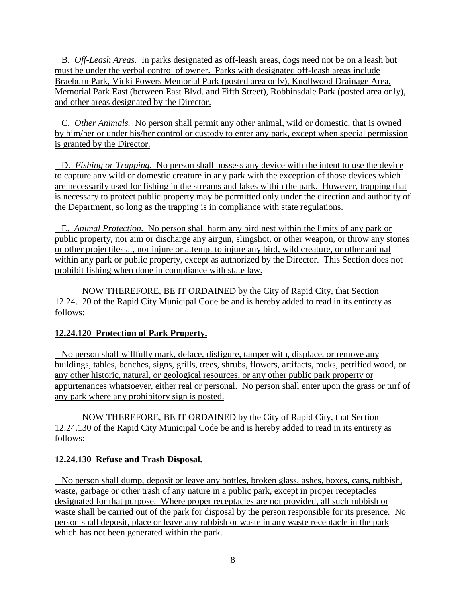B. *Off-Leash Areas.* In parks designated as off-leash areas, dogs need not be on a leash but must be under the verbal control of owner. Parks with designated off-leash areas include Braeburn Park, Vicki Powers Memorial Park (posted area only), Knollwood Drainage Area, Memorial Park East (between East Blvd. and Fifth Street), Robbinsdale Park (posted area only), and other areas designated by the Director.

 C. *Other Animals.* No person shall permit any other animal, wild or domestic, that is owned by him/her or under his/her control or custody to enter any park, except when special permission is granted by the Director.

 D. *Fishing or Trapping.* No person shall possess any device with the intent to use the device to capture any wild or domestic creature in any park with the exception of those devices which are necessarily used for fishing in the streams and lakes within the park. However, trapping that is necessary to protect public property may be permitted only under the direction and authority of the Department, so long as the trapping is in compliance with state regulations.

 E. *Animal Protection.* No person shall harm any bird nest within the limits of any park or public property, nor aim or discharge any airgun, slingshot, or other weapon, or throw any stones or other projectiles at, nor injure or attempt to injure any bird, wild creature, or other animal within any park or public property, except as authorized by the Director. This Section does not prohibit fishing when done in compliance with state law.

NOW THEREFORE, BE IT ORDAINED by the City of Rapid City, that Section 12.24.120 of the Rapid City Municipal Code be and is hereby added to read in its entirety as follows:

# **12.24.120 Protection of Park Property.**

 No person shall willfully mark, deface, disfigure, tamper with, displace, or remove any buildings, tables, benches, signs, grills, trees, shrubs, flowers, artifacts, rocks, petrified wood, or any other historic, natural, or geological resources, or any other public park property or appurtenances whatsoever, either real or personal. No person shall enter upon the grass or turf of any park where any prohibitory sign is posted.

NOW THEREFORE, BE IT ORDAINED by the City of Rapid City, that Section 12.24.130 of the Rapid City Municipal Code be and is hereby added to read in its entirety as follows:

# **12.24.130 Refuse and Trash Disposal.**

 No person shall dump, deposit or leave any bottles, broken glass, ashes, boxes, cans, rubbish, waste, garbage or other trash of any nature in a public park, except in proper receptacles designated for that purpose. Where proper receptacles are not provided, all such rubbish or waste shall be carried out of the park for disposal by the person responsible for its presence. No person shall deposit, place or leave any rubbish or waste in any waste receptacle in the park which has not been generated within the park.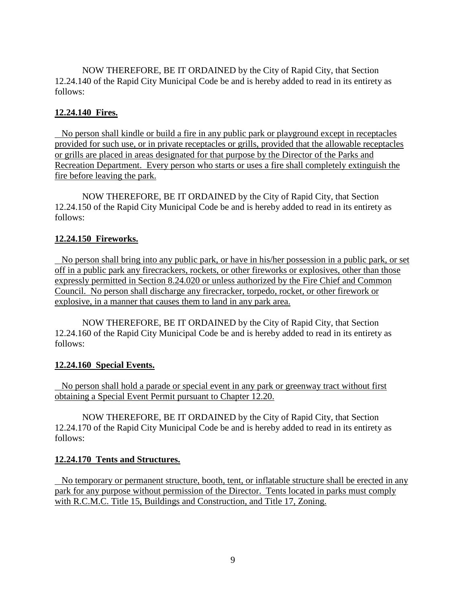NOW THEREFORE, BE IT ORDAINED by the City of Rapid City, that Section 12.24.140 of the Rapid City Municipal Code be and is hereby added to read in its entirety as follows:

### **12.24.140 Fires.**

 No person shall kindle or build a fire in any public park or playground except in receptacles provided for such use, or in private receptacles or grills, provided that the allowable receptacles or grills are placed in areas designated for that purpose by the Director of the Parks and Recreation Department. Every person who starts or uses a fire shall completely extinguish the fire before leaving the park.

NOW THEREFORE, BE IT ORDAINED by the City of Rapid City, that Section 12.24.150 of the Rapid City Municipal Code be and is hereby added to read in its entirety as follows:

### **12.24.150 Fireworks.**

 No person shall bring into any public park, or have in his/her possession in a public park, or set off in a public park any firecrackers, rockets, or other fireworks or explosives, other than those expressly permitted in Section 8.24.020 or unless authorized by the Fire Chief and Common Council. No person shall discharge any firecracker, torpedo, rocket, or other firework or explosive, in a manner that causes them to land in any park area.

NOW THEREFORE, BE IT ORDAINED by the City of Rapid City, that Section 12.24.160 of the Rapid City Municipal Code be and is hereby added to read in its entirety as follows:

### **12.24.160 Special Events.**

 No person shall hold a parade or special event in any park or greenway tract without first obtaining a Special Event Permit pursuant to Chapter 12.20.

NOW THEREFORE, BE IT ORDAINED by the City of Rapid City, that Section 12.24.170 of the Rapid City Municipal Code be and is hereby added to read in its entirety as follows:

### **12.24.170 Tents and Structures.**

 No temporary or permanent structure, booth, tent, or inflatable structure shall be erected in any park for any purpose without permission of the Director. Tents located in parks must comply with R.C.M.C. Title 15, Buildings and Construction, and Title 17, Zoning.